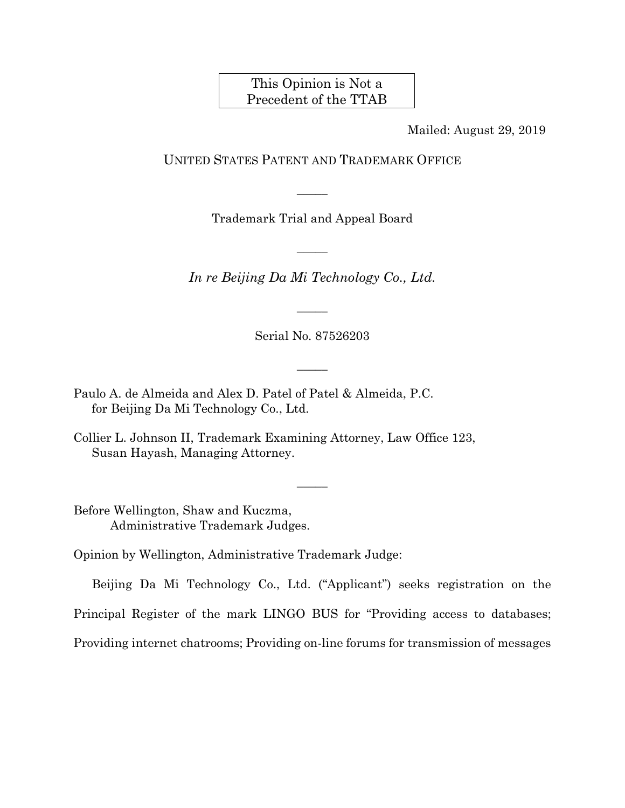This Opinion is Not a Precedent of the TTAB

Mailed: August 29, 2019

### UNITED STATES PATENT AND TRADEMARK OFFICE

Trademark Trial and Appeal Board

 $\overline{\phantom{a}}$ 

 $\overline{\phantom{a}}$ 

*In re Beijing Da Mi Technology Co., Ltd.* 

Serial No. 87526203

 $\overline{\phantom{a}}$ 

 $\overline{\phantom{a}}$ 

- Paulo A. de Almeida and Alex D. Patel of Patel & Almeida, P.C. for Beijing Da Mi Technology Co., Ltd.
- Collier L. Johnson II, Trademark Examining Attorney, Law Office 123, Susan Hayash, Managing Attorney.

Before Wellington, Shaw and Kuczma, Administrative Trademark Judges.

Opinion by Wellington, Administrative Trademark Judge:

Beijing Da Mi Technology Co., Ltd. ("Applicant") seeks registration on the

 $\overline{\phantom{a}}$ 

Principal Register of the mark LINGO BUS for "Providing access to databases;

Providing internet chatrooms; Providing on-line forums for transmission of messages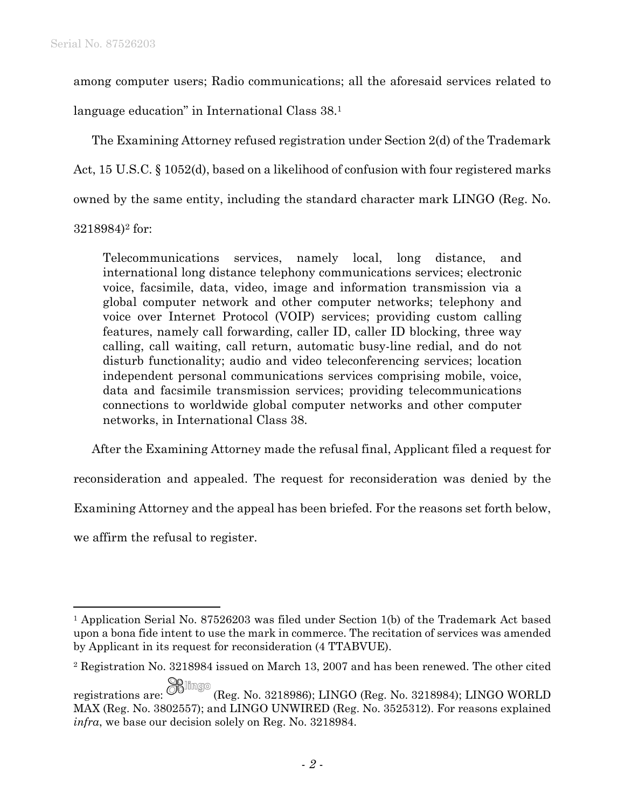among computer users; Radio communications; all the aforesaid services related to

language education" in International Class 38.1

The Examining Attorney refused registration under Section 2(d) of the Trademark Act, 15 U.S.C. § 1052(d), based on a likelihood of confusion with four registered marks owned by the same entity, including the standard character mark LINGO (Reg. No. 3218984)2 for:

Telecommunications services, namely local, long distance, and international long distance telephony communications services; electronic voice, facsimile, data, video, image and information transmission via a global computer network and other computer networks; telephony and voice over Internet Protocol (VOIP) services; providing custom calling features, namely call forwarding, caller ID, caller ID blocking, three way calling, call waiting, call return, automatic busy-line redial, and do not disturb functionality; audio and video teleconferencing services; location independent personal communications services comprising mobile, voice, data and facsimile transmission services; providing telecommunications connections to worldwide global computer networks and other computer networks, in International Class 38.

After the Examining Attorney made the refusal final, Applicant filed a request for

reconsideration and appealed. The request for reconsideration was denied by the

Examining Attorney and the appeal has been briefed. For the reasons set forth below,

we affirm the refusal to register.

1

<sup>1</sup> Application Serial No. 87526203 was filed under Section 1(b) of the Trademark Act based upon a bona fide intent to use the mark in commerce. The recitation of services was amended by Applicant in its request for reconsideration (4 TTABVUE).

<sup>2</sup> Registration No. 3218984 issued on March 13, 2007 and has been renewed. The other cited

registrations are:  $\overline{\mathcal{O}}$  (Reg. No. 3218986); LINGO (Reg. No. 3218984); LINGO WORLD MAX (Reg. No. 3802557); and LINGO UNWIRED (Reg. No. 3525312). For reasons explained *infra*, we base our decision solely on Reg. No. 3218984.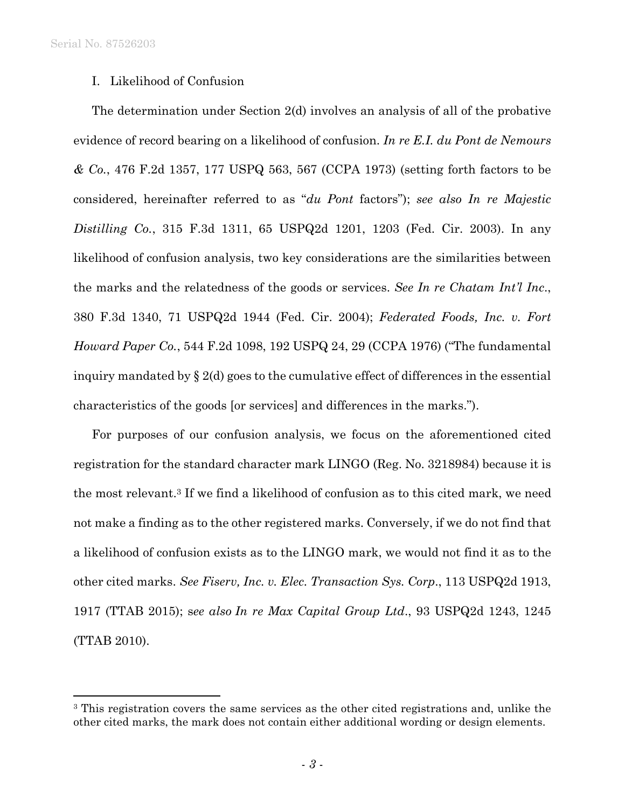Serial No. 87526203

1

## I. Likelihood of Confusion

The determination under Section 2(d) involves an analysis of all of the probative evidence of record bearing on a likelihood of confusion. *In re E.I. du Pont de Nemours & Co.*, 476 F.2d 1357, 177 USPQ 563, 567 (CCPA 1973) (setting forth factors to be considered, hereinafter referred to as "*du Pont* factors"); *see also In re Majestic Distilling Co.*, 315 F.3d 1311, 65 USPQ2d 1201, 1203 (Fed. Cir. 2003). In any likelihood of confusion analysis, two key considerations are the similarities between the marks and the relatedness of the goods or services. *See In re Chatam Int'l Inc*., 380 F.3d 1340, 71 USPQ2d 1944 (Fed. Cir. 2004); *Federated Foods, Inc. v. Fort Howard Paper Co.*, 544 F.2d 1098, 192 USPQ 24, 29 (CCPA 1976) ("The fundamental inquiry mandated by § 2(d) goes to the cumulative effect of differences in the essential characteristics of the goods [or services] and differences in the marks.").

For purposes of our confusion analysis, we focus on the aforementioned cited registration for the standard character mark LINGO (Reg. No. 3218984) because it is the most relevant.3 If we find a likelihood of confusion as to this cited mark, we need not make a finding as to the other registered marks. Conversely, if we do not find that a likelihood of confusion exists as to the LINGO mark, we would not find it as to the other cited marks. *See Fiserv, Inc. v. Elec. Transaction Sys. Corp*., 113 USPQ2d 1913, 1917 (TTAB 2015); s*ee also In re Max Capital Group Ltd*., 93 USPQ2d 1243, 1245 (TTAB 2010).

<sup>&</sup>lt;sup>3</sup> This registration covers the same services as the other cited registrations and, unlike the other cited marks, the mark does not contain either additional wording or design elements.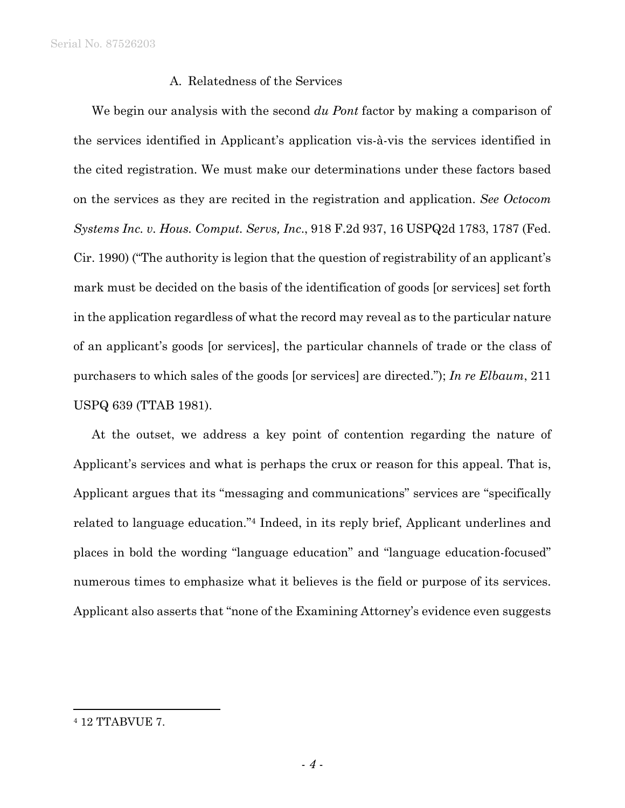# A. Relatedness of the Services

We begin our analysis with the second *du Pont* factor by making a comparison of the services identified in Applicant's application vis-à-vis the services identified in the cited registration. We must make our determinations under these factors based on the services as they are recited in the registration and application. *See Octocom Systems Inc. v. Hous. Comput. Servs, Inc*., 918 F.2d 937, 16 USPQ2d 1783, 1787 (Fed. Cir. 1990) ("The authority is legion that the question of registrability of an applicant's mark must be decided on the basis of the identification of goods [or services] set forth in the application regardless of what the record may reveal as to the particular nature of an applicant's goods [or services], the particular channels of trade or the class of purchasers to which sales of the goods [or services] are directed."); *In re Elbaum*, 211 USPQ 639 (TTAB 1981).

At the outset, we address a key point of contention regarding the nature of Applicant's services and what is perhaps the crux or reason for this appeal. That is, Applicant argues that its "messaging and communications" services are "specifically related to language education."4 Indeed, in its reply brief, Applicant underlines and places in bold the wording "language education" and "language education-focused" numerous times to emphasize what it believes is the field or purpose of its services. Applicant also asserts that "none of the Examining Attorney's evidence even suggests

1

<sup>4 12</sup> TTABVUE 7.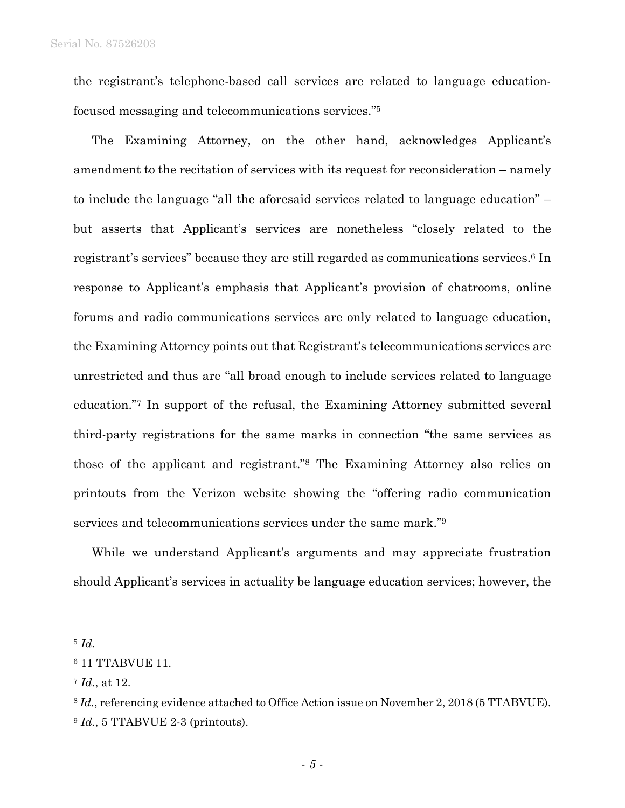the registrant's telephone-based call services are related to language educationfocused messaging and telecommunications services."5

The Examining Attorney, on the other hand, acknowledges Applicant's amendment to the recitation of services with its request for reconsideration – namely to include the language "all the aforesaid services related to language education" – but asserts that Applicant's services are nonetheless "closely related to the registrant's services" because they are still regarded as communications services.6 In response to Applicant's emphasis that Applicant's provision of chatrooms, online forums and radio communications services are only related to language education, the Examining Attorney points out that Registrant's telecommunications services are unrestricted and thus are "all broad enough to include services related to language education."7 In support of the refusal, the Examining Attorney submitted several third-party registrations for the same marks in connection "the same services as those of the applicant and registrant."8 The Examining Attorney also relies on printouts from the Verizon website showing the "offering radio communication services and telecommunications services under the same mark."9

While we understand Applicant's arguments and may appreciate frustration should Applicant's services in actuality be language education services; however, the

<sup>5</sup> *Id.*

 $\overline{a}$ 

<sup>6 11</sup> TTABVUE 11.

<sup>7</sup> *Id.*, at 12.

<sup>8</sup> *Id.*, referencing evidence attached to Office Action issue on November 2, 2018 (5 TTABVUE). <sup>9</sup> *Id.*, 5 TTABVUE 2-3 (printouts).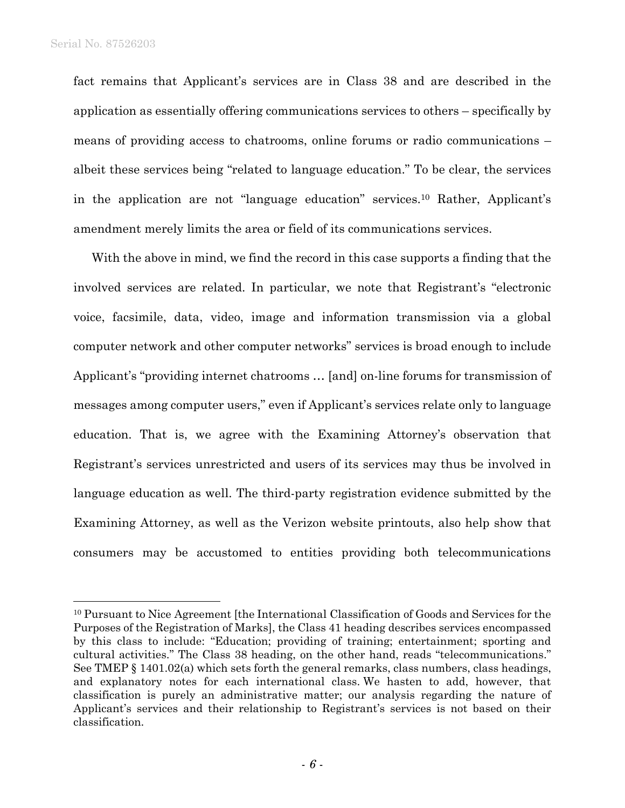$\overline{a}$ 

fact remains that Applicant's services are in Class 38 and are described in the application as essentially offering communications services to others – specifically by means of providing access to chatrooms, online forums or radio communications – albeit these services being "related to language education." To be clear, the services in the application are not "language education" services.10 Rather, Applicant's amendment merely limits the area or field of its communications services.

With the above in mind, we find the record in this case supports a finding that the involved services are related. In particular, we note that Registrant's "electronic voice, facsimile, data, video, image and information transmission via a global computer network and other computer networks" services is broad enough to include Applicant's "providing internet chatrooms … [and] on-line forums for transmission of messages among computer users," even if Applicant's services relate only to language education. That is, we agree with the Examining Attorney's observation that Registrant's services unrestricted and users of its services may thus be involved in language education as well. The third-party registration evidence submitted by the Examining Attorney, as well as the Verizon website printouts, also help show that consumers may be accustomed to entities providing both telecommunications

<sup>&</sup>lt;sup>10</sup> Pursuant to Nice Agreement [the International Classification of Goods and Services for the Purposes of the Registration of Marks], the Class 41 heading describes services encompassed by this class to include: "Education; providing of training; entertainment; sporting and cultural activities." The Class 38 heading, on the other hand, reads "telecommunications." See TMEP § 1401.02(a) which sets forth the general remarks, class numbers, class headings, and explanatory notes for each international class. We hasten to add, however, that classification is purely an administrative matter; our analysis regarding the nature of Applicant's services and their relationship to Registrant's services is not based on their classification.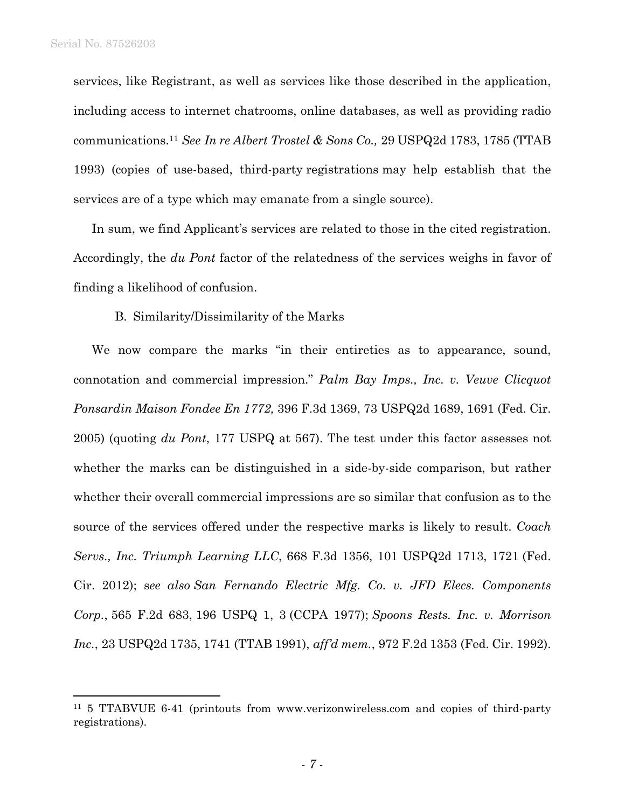$\overline{a}$ 

services, like Registrant, as well as services like those described in the application, including access to internet chatrooms, online databases, as well as providing radio communications.11 *See In re Albert Trostel & Sons Co.,* 29 USPQ2d 1783, 1785 (TTAB 1993) (copies of use-based, third-party registrations may help establish that the services are of a type which may emanate from a single source).

In sum, we find Applicant's services are related to those in the cited registration. Accordingly, the *du Pont* factor of the relatedness of the services weighs in favor of finding a likelihood of confusion.

B. Similarity/Dissimilarity of the Marks

We now compare the marks "in their entireties as to appearance, sound, connotation and commercial impression." *Palm Bay Imps., Inc. v. Veuve Clicquot Ponsardin Maison Fondee En 1772,* 396 F.3d 1369, 73 USPQ2d 1689, 1691 (Fed. Cir. 2005) (quoting *du Pont*, 177 USPQ at 567). The test under this factor assesses not whether the marks can be distinguished in a side-by-side comparison, but rather whether their overall commercial impressions are so similar that confusion as to the source of the services offered under the respective marks is likely to result. *Coach Servs., Inc. Triumph Learning LLC*, 668 F.3d 1356, 101 USPQ2d 1713, 1721 (Fed. Cir. 2012); s*ee also San Fernando Electric Mfg. Co. v. JFD Elecs. Components Corp.*, 565 F.2d 683, 196 USPQ 1, 3 (CCPA 1977); *Spoons Rests. Inc. v. Morrison Inc.*, 23 USPQ2d 1735, 1741 (TTAB 1991), *aff'd mem.*, 972 F.2d 1353 (Fed. Cir. 1992).

<sup>11 5</sup> TTABVUE 6-41 (printouts from www.verizonwireless.com and copies of third-party registrations).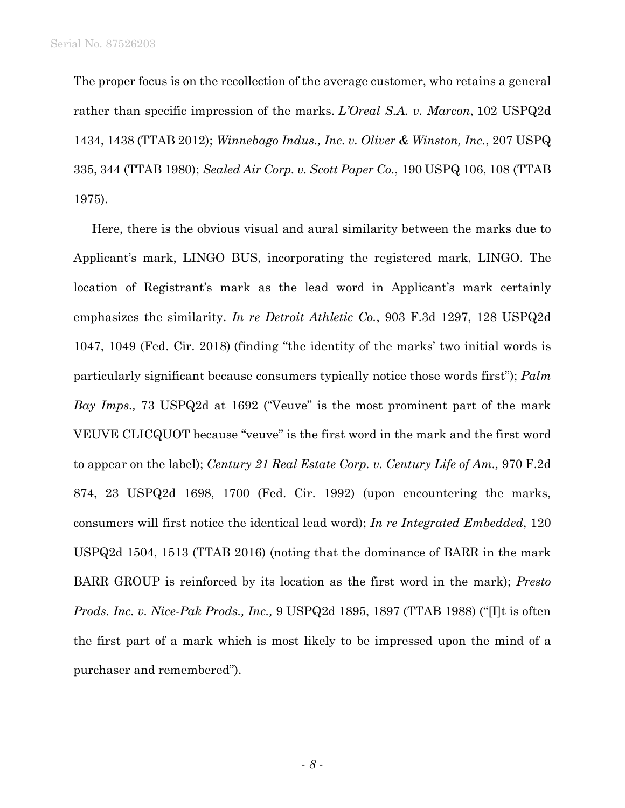The proper focus is on the recollection of the average customer, who retains a general rather than specific impression of the marks. *L'Oreal S.A. v. Marcon*, 102 USPQ2d 1434, 1438 (TTAB 2012); *Winnebago Indus., Inc. v. Oliver & Winston, Inc.*, 207 USPQ 335, 344 (TTAB 1980); *Sealed Air Corp. v. Scott Paper Co.*, 190 USPQ 106, 108 (TTAB 1975).

Here, there is the obvious visual and aural similarity between the marks due to Applicant's mark, LINGO BUS, incorporating the registered mark, LINGO. The location of Registrant's mark as the lead word in Applicant's mark certainly emphasizes the similarity. *In re Detroit Athletic Co.*, 903 F.3d 1297, 128 USPQ2d 1047, 1049 (Fed. Cir. 2018) (finding "the identity of the marks' two initial words is particularly significant because consumers typically notice those words first"); *Palm Bay Imps.,* 73 USPQ2d at 1692 ("Veuve" is the most prominent part of the mark VEUVE CLICQUOT because "veuve" is the first word in the mark and the first word to appear on the label); *Century 21 Real Estate Corp. v. Century Life of Am.,* 970 F.2d 874, 23 USPQ2d 1698, 1700 (Fed. Cir. 1992) (upon encountering the marks, consumers will first notice the identical lead word); *In re Integrated Embedded*, 120 USPQ2d 1504, 1513 (TTAB 2016) (noting that the dominance of BARR in the mark BARR GROUP is reinforced by its location as the first word in the mark); *Presto Prods. Inc. v. Nice-Pak Prods., Inc.,* 9 USPQ2d 1895, 1897 (TTAB 1988) ("[I]t is often the first part of a mark which is most likely to be impressed upon the mind of a purchaser and remembered").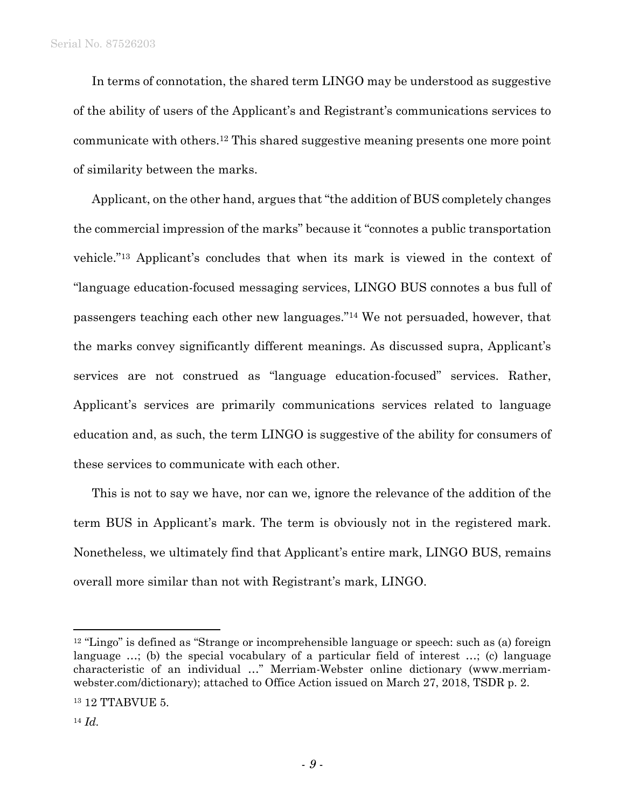In terms of connotation, the shared term LINGO may be understood as suggestive of the ability of users of the Applicant's and Registrant's communications services to communicate with others.12 This shared suggestive meaning presents one more point of similarity between the marks.

Applicant, on the other hand, argues that "the addition of BUS completely changes the commercial impression of the marks" because it "connotes a public transportation vehicle."13 Applicant's concludes that when its mark is viewed in the context of "language education-focused messaging services, LINGO BUS connotes a bus full of passengers teaching each other new languages."14 We not persuaded, however, that the marks convey significantly different meanings. As discussed supra, Applicant's services are not construed as "language education-focused" services. Rather, Applicant's services are primarily communications services related to language education and, as such, the term LINGO is suggestive of the ability for consumers of these services to communicate with each other.

This is not to say we have, nor can we, ignore the relevance of the addition of the term BUS in Applicant's mark. The term is obviously not in the registered mark. Nonetheless, we ultimately find that Applicant's entire mark, LINGO BUS, remains overall more similar than not with Registrant's mark, LINGO.

 $\overline{a}$ 

 $12$  "Lingo" is defined as "Strange or incomprehensible language or speech: such as (a) foreign language ...; (b) the special vocabulary of a particular field of interest ...; (c) language characteristic of an individual …" Merriam-Webster online dictionary (www.merriamwebster.com/dictionary); attached to Office Action issued on March 27, 2018, TSDR p. 2.

<sup>13 12</sup> TTABVUE 5.

<sup>14</sup> *Id.*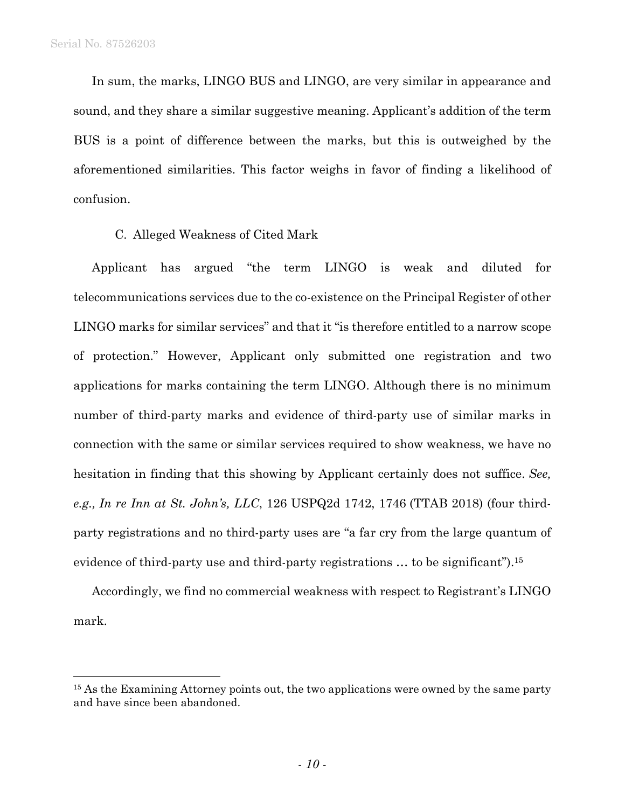$\overline{a}$ 

In sum, the marks, LINGO BUS and LINGO, are very similar in appearance and sound, and they share a similar suggestive meaning. Applicant's addition of the term BUS is a point of difference between the marks, but this is outweighed by the aforementioned similarities. This factor weighs in favor of finding a likelihood of confusion.

#### C. Alleged Weakness of Cited Mark

Applicant has argued "the term LINGO is weak and diluted for telecommunications services due to the co-existence on the Principal Register of other LINGO marks for similar services" and that it "is therefore entitled to a narrow scope of protection." However, Applicant only submitted one registration and two applications for marks containing the term LINGO. Although there is no minimum number of third-party marks and evidence of third-party use of similar marks in connection with the same or similar services required to show weakness, we have no hesitation in finding that this showing by Applicant certainly does not suffice. *See, e.g., In re Inn at St. John's, LLC*, 126 USPQ2d 1742, 1746 (TTAB 2018) (four thirdparty registrations and no third-party uses are "a far cry from the large quantum of evidence of third-party use and third-party registrations ... to be significant").<sup>15</sup>

Accordingly, we find no commercial weakness with respect to Registrant's LINGO mark.

<sup>&</sup>lt;sup>15</sup> As the Examining Attorney points out, the two applications were owned by the same party and have since been abandoned.